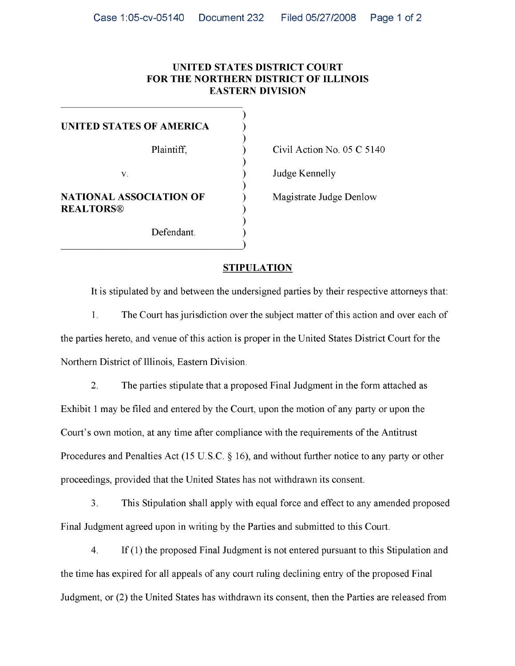## **UNITED STATES DISTRICT COURT FOR THE NORTHERN DISTRICT OF ILLINOIS EASTERN DIVISION**

| UNITED STATES OF AMERICA       |            |       |
|--------------------------------|------------|-------|
|                                |            |       |
|                                | Plaintiff, | Civil |
|                                |            |       |
| V.                             |            | Judge |
|                                |            |       |
| <b>NATIONAL ASSOCIATION OF</b> |            | Magi  |
| <b>REALTORS®</b>               |            |       |
|                                |            |       |
|                                | Defendant. |       |
|                                |            |       |

Action No. 05 C 5140

e Kennelly

strate Judge Denlow

## **STIPULATION**

It is stipulated by and between the undersigned parties by their respective attorneys that:

 $\overline{1}$ . The Court has jurisdiction over the subject matter of this action and over each of 1. The Court has jurisdiction over the subject matter of this action and over each of the parties hereto, and venue of this action is proper in the United States District Court for the  $\mathbf{r}$  the parties here to, and venue of this action is proper in the United States District Court for the United States District Court for the United States District Court for the United States District Court for the U Northern District of Illinois, Eastern Division.

 $2.$ The parties stipulate that a proposed Final Judgment in the form attached as 2. The parties stipulate that a proposed Final Judgment in the form attached as Exhibit 1 may be filed and entered by the Court, upon the motion of any party or upon the  $\mathbf{F}$ Court's own motion, at any time after compliance with the requirements of the Antitrust Court's own motion, at any time after compliance with the requirements of the Antitrust Procedures and Penalties Act (15 U.S.C.  $\S$  16), and without further notice to any party or other  $\mathcal{P}_1$  U.S.C.  $\mathcal{P}_2$ proceedings, provided that the United States has not withdrawn its consent. proceedings, provided that the United States has not withdrawn its consent.

 $3<sub>1</sub>$  $\frac{1}{1}$  and  $\frac{1}{2}$  force and effect to any amended proposed proposed proposed proposed proposed proposed proposed proposed proposed proposed proposed proposed proposed proposed proposed proposed proposed proposed pro Final Judgment agreed upon in writing by the Parties and submitted to this Court.  $\mathcal{L}$   $\mathcal{L}$   $\mathcal{L}$  the Parties and submitted to the Parties and submitted to this Court.

 $\overline{4}$ .  $\frac{1}{\sqrt{1-\frac{1}{\sqrt{1-\frac{1}{\sqrt{1-\frac{1}{\sqrt{1-\frac{1}{\sqrt{1-\frac{1}{\sqrt{1-\frac{1}{\sqrt{1-\frac{1}{\sqrt{1-\frac{1}{\sqrt{1-\frac{1}{\sqrt{1-\frac{1}{\sqrt{1-\frac{1}{\sqrt{1-\frac{1}{\sqrt{1-\frac{1}{\sqrt{1-\frac{1}{\sqrt{1-\frac{1}{\sqrt{1-\frac{1}{\sqrt{1-\frac{1}{\sqrt{1-\frac{1}{\sqrt{1-\frac{1}{\sqrt{1-\frac{1}{\sqrt{1-\frac{1}{\sqrt{1-\frac{1}{\sqrt{1-\frac{1}{\sqrt{1-\frac{1$  $\frac{1}{\sqrt{2}}$  and  $\frac{1}{\sqrt{2}}$  and  $\frac{1}{\sqrt{2}}$  of the proposed Final entry of the proposed Final entry of the proposed Final entry of the proposed Final entry of the proposed Final entry of the proposed Final entry of the  $\mathcal{O}$  the United States has with  $\mathcal{O}$  the Parties are released from the Parties are released from the Parties are released from the Parties are released from the Parties are released from the Parties are released f